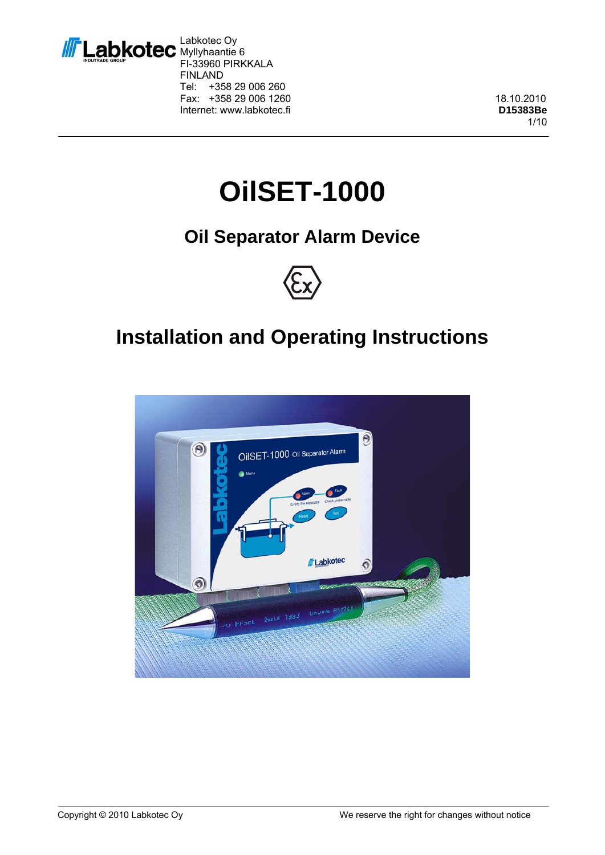

Labkotec Oy Myllyhaantie 6 FI-33960 PIRKKALA FINLAND<br>Tel: +35 +358 29 006 260 Fax: +358 29 006 1260 18.10.2010 Internet: www.labkotec.fi **D15383Be** 

1/10

# **OilSET-1000**

## **Oil Separator Alarm Device**



## **Installation and Operating Instructions**

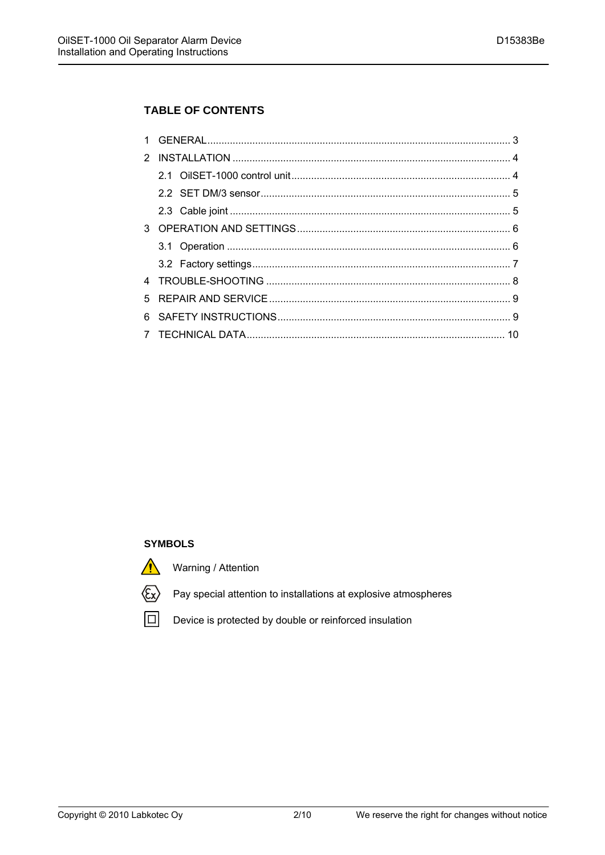#### **TABLE OF CONTENTS**

#### **SYMBOLS**



Warning / Attention



Pay special attention to installations at explosive atmospheres

回

Device is protected by double or reinforced insulation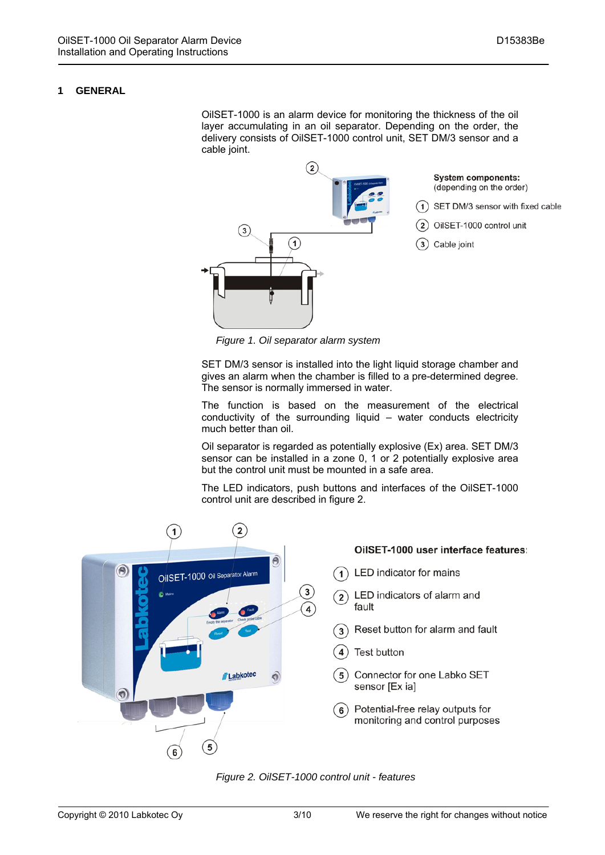#### **1 GENERAL**

OilSET-1000 is an alarm device for monitoring the thickness of the oil layer accumulating in an oil separator. Depending on the order, the delivery consists of OilSET-1000 control unit, SET DM/3 sensor and a cable joint.



*Figure 1. Oil separator alarm system* 

SET DM/3 sensor is installed into the light liquid storage chamber and gives an alarm when the chamber is filled to a pre-determined degree. The sensor is normally immersed in water.

The function is based on the measurement of the electrical conductivity of the surrounding liquid – water conducts electricity much better than oil.

Oil separator is regarded as potentially explosive (Ex) area. SET DM/3 sensor can be installed in a zone 0, 1 or 2 potentially explosive area but the control unit must be mounted in a safe area.

The LED indicators, push buttons and interfaces of the OilSET-1000 control unit are described in figure 2.



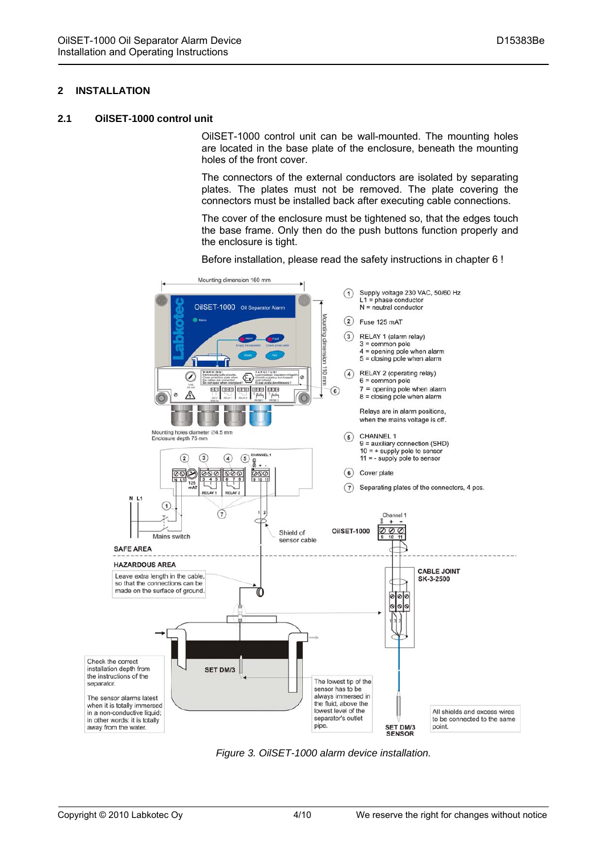#### **2 INSTALLATION**

#### **2.1 OilSET-1000 control unit**

OilSET-1000 control unit can be wall-mounted. The mounting holes are located in the base plate of the enclosure, beneath the mounting holes of the front cover.

The connectors of the external conductors are isolated by separating plates. The plates must not be removed. The plate covering the connectors must be installed back after executing cable connections.

The cover of the enclosure must be tightened so, that the edges touch the base frame. Only then do the push buttons function properly and the enclosure is tight.



Before installation, please read the safety instructions in chapter 6 !

*Figure 3. OilSET-1000 alarm device installation.*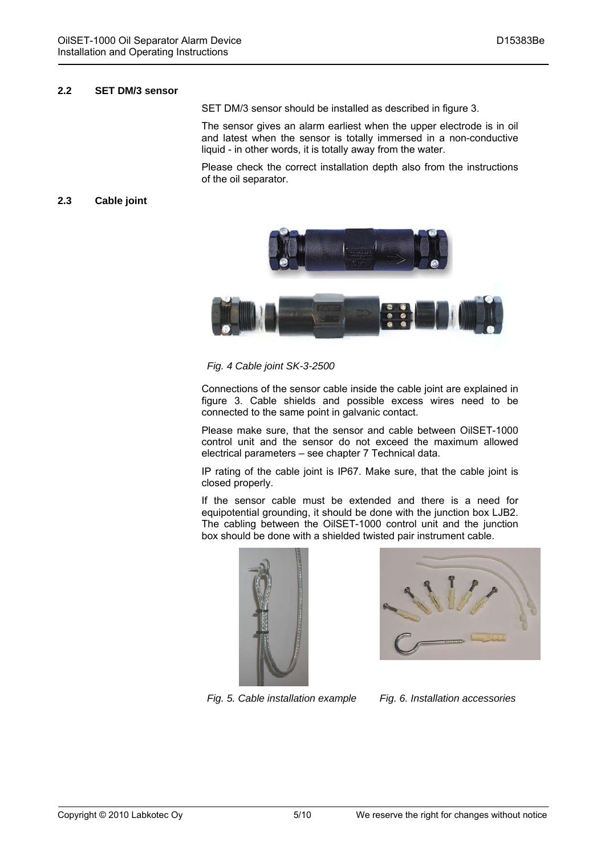#### **2.2 SET DM/3 sensor**

SET DM/3 sensor should be installed as described in figure 3.

The sensor gives an alarm earliest when the upper electrode is in oil and latest when the sensor is totally immersed in a non-conductive liquid - in other words, it is totally away from the water.

Please check the correct installation depth also from the instructions of the oil separator.

#### **2.3 Cable joint**





*Fig. 4 Cable joint SK-3-2500* 

Connections of the sensor cable inside the cable joint are explained in figure 3. Cable shields and possible excess wires need to be connected to the same point in galvanic contact.

Please make sure, that the sensor and cable between OilSET-1000 control unit and the sensor do not exceed the maximum allowed electrical parameters – see chapter 7 Technical data.

IP rating of the cable joint is IP67. Make sure, that the cable joint is closed properly.

If the sensor cable must be extended and there is a need for equipotential grounding, it should be done with the junction box LJB2. The cabling between the OilSET-1000 control unit and the junction box should be done with a shielded twisted pair instrument cable.





*Fig. 5. Cable installation example Fig. 6. Installation accessories*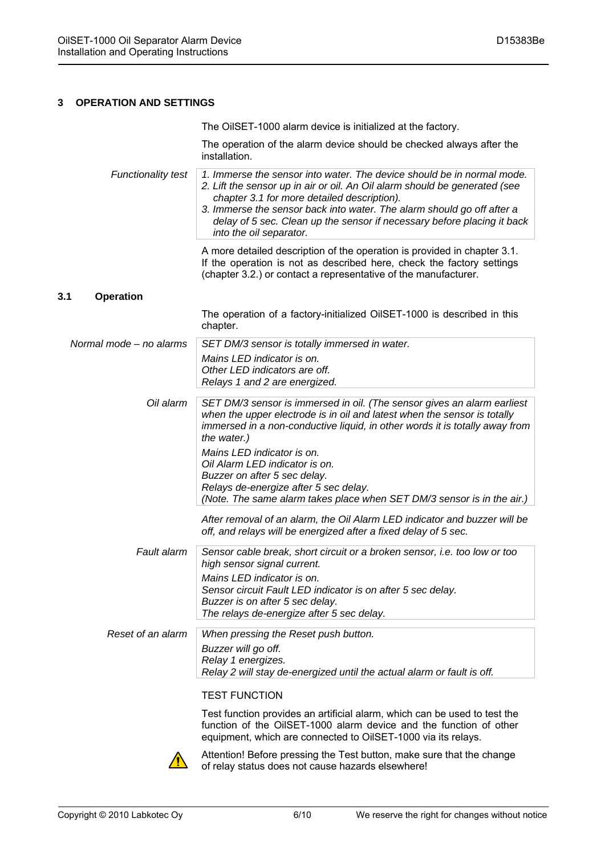#### **3 OPERATION AND SETTINGS**

|                           | The OilSET-1000 alarm device is initialized at the factory.                                                                                                                                                                                                                                                                                                                         |
|---------------------------|-------------------------------------------------------------------------------------------------------------------------------------------------------------------------------------------------------------------------------------------------------------------------------------------------------------------------------------------------------------------------------------|
|                           | The operation of the alarm device should be checked always after the<br>installation.                                                                                                                                                                                                                                                                                               |
| <b>Functionality test</b> | 1. Immerse the sensor into water. The device should be in normal mode.<br>2. Lift the sensor up in air or oil. An Oil alarm should be generated (see<br>chapter 3.1 for more detailed description).<br>3. Immerse the sensor back into water. The alarm should go off after a<br>delay of 5 sec. Clean up the sensor if necessary before placing it back<br>into the oil separator. |
|                           | A more detailed description of the operation is provided in chapter 3.1.<br>If the operation is not as described here, check the factory settings<br>(chapter 3.2.) or contact a representative of the manufacturer.                                                                                                                                                                |
| 3.1<br><b>Operation</b>   |                                                                                                                                                                                                                                                                                                                                                                                     |
|                           | The operation of a factory-initialized OilSET-1000 is described in this<br>chapter.                                                                                                                                                                                                                                                                                                 |
| Normal mode - no alarms   | SET DM/3 sensor is totally immersed in water.                                                                                                                                                                                                                                                                                                                                       |
|                           | Mains LED indicator is on.<br>Other LED indicators are off.<br>Relays 1 and 2 are energized.                                                                                                                                                                                                                                                                                        |
| Oil alarm                 | SET DM/3 sensor is immersed in oil. (The sensor gives an alarm earliest<br>when the upper electrode is in oil and latest when the sensor is totally<br>immersed in a non-conductive liquid, in other words it is totally away from<br>the water.)                                                                                                                                   |
|                           | Mains LED indicator is on.<br>Oil Alarm LED indicator is on.<br>Buzzer on after 5 sec delay.<br>Relays de-energize after 5 sec delay.<br>(Note. The same alarm takes place when SET DM/3 sensor is in the air.)                                                                                                                                                                     |
|                           | After removal of an alarm, the Oil Alarm LED indicator and buzzer will be<br>off, and relays will be energized after a fixed delay of 5 sec.                                                                                                                                                                                                                                        |
| Fault alarm               | Sensor cable break, short circuit or a broken sensor, i.e. too low or too<br>high sensor signal current.<br>Mains LED indicator is on.<br>Sensor circuit Fault LED indicator is on after 5 sec delay.<br>Buzzer is on after 5 sec delay.<br>The relays de-energize after 5 sec delay.                                                                                               |
| Reset of an alarm         | When pressing the Reset push button.<br>Buzzer will go off.<br>Relay 1 energizes.<br>Relay 2 will stay de-energized until the actual alarm or fault is off.                                                                                                                                                                                                                         |
|                           | <b>TEST FUNCTION</b>                                                                                                                                                                                                                                                                                                                                                                |
|                           | Test function provides an artificial alarm, which can be used to test the<br>function of the OilSET-1000 alarm device and the function of other<br>equipment, which are connected to OilSET-1000 via its relays.                                                                                                                                                                    |
|                           | Attention! Before pressing the Test button, make sure that the change<br>of relay status does not cause hazards elsewhere!                                                                                                                                                                                                                                                          |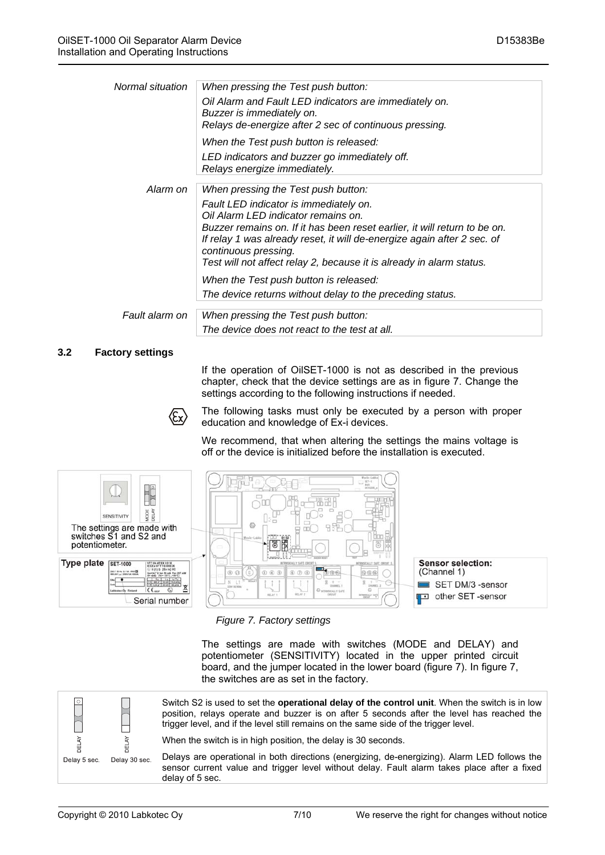| Normal situation | When pressing the Test push button:<br>Oil Alarm and Fault LED indicators are immediately on.<br>Buzzer is immediately on.<br>Relays de-energize after 2 sec of continuous pressing.                                                                                                                                                                                         |
|------------------|------------------------------------------------------------------------------------------------------------------------------------------------------------------------------------------------------------------------------------------------------------------------------------------------------------------------------------------------------------------------------|
|                  | When the Test push button is released:<br>LED indicators and buzzer go immediately off.<br>Relays energize immediately.                                                                                                                                                                                                                                                      |
| Alarm on         | When pressing the Test push button:<br>Fault LED indicator is immediately on.<br>Oil Alarm LED indicator remains on.<br>Buzzer remains on. If it has been reset earlier, it will return to be on.<br>If relay 1 was already reset, it will de-energize again after 2 sec. of<br>continuous pressing.<br>Test will not affect relay 2, because it is already in alarm status. |
|                  | When the Test push button is released:<br>The device returns without delay to the preceding status.                                                                                                                                                                                                                                                                          |
| Fault alarm on   | When pressing the Test push button:<br>The device does not react to the test at all.                                                                                                                                                                                                                                                                                         |

#### **3.2 Factory settings**

If the operation of OilSET-1000 is not as described in the previous chapter, check that the device settings are as in figure 7. Change the settings according to the following instructions if needed.



The following tasks must only be executed by a person with proper education and knowledge of Ex-i devices.

We recommend, that when altering the settings the mains voltage is off or the device is initialized before the installation is executed.



*Figure 7. Factory settings* 

The settings are made with switches (MODE and DELAY) and potentiometer (SENSITIVITY) located in the upper printed circuit board, and the jumper located in the lower board (figure 7). In figure 7, the switches are as set in the factory.



Switch S2 is used to set the **operational delay of the control unit**. When the switch is in low position, relays operate and buzzer is on after 5 seconds after the level has reached the trigger level, and if the level still remains on the same side of the trigger level.

When the switch is in high position, the delay is 30 seconds.

Delays are operational in both directions (energizing, de-energizing). Alarm LED follows the sensor current value and trigger level without delay. Fault alarm takes place after a fixed delay of 5 sec.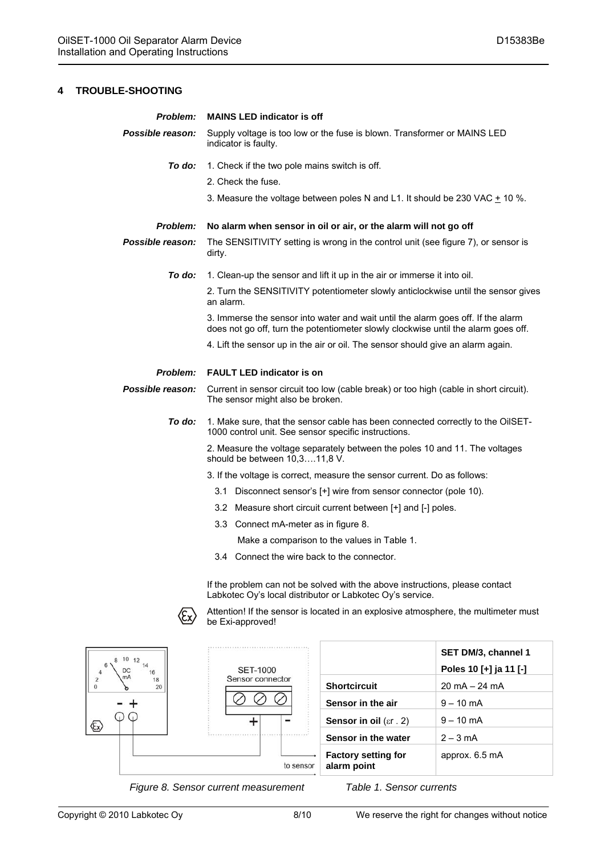| Problem:         | <b>MAINS LED indicator is off</b>                                                                                                                                      |  |
|------------------|------------------------------------------------------------------------------------------------------------------------------------------------------------------------|--|
| Possible reason: | Supply voltage is too low or the fuse is blown. Transformer or MAINS LED<br>indicator is faulty.                                                                       |  |
| To do:           | 1. Check if the two pole mains switch is off.                                                                                                                          |  |
|                  | 2. Check the fuse.                                                                                                                                                     |  |
|                  | 3. Measure the voltage between poles N and L1. It should be 230 VAC + 10 %.                                                                                            |  |
| Problem:         | No alarm when sensor in oil or air, or the alarm will not go off                                                                                                       |  |
| Possible reason: | The SENSITIVITY setting is wrong in the control unit (see figure 7), or sensor is<br>dirty.                                                                            |  |
| To do:           | 1. Clean-up the sensor and lift it up in the air or immerse it into oil.                                                                                               |  |
|                  | 2. Turn the SENSITIVITY potentiometer slowly anticlockwise until the sensor gives<br>an alarm.                                                                         |  |
|                  | 3. Immerse the sensor into water and wait until the alarm goes off. If the alarm<br>does not go off, turn the potentiometer slowly clockwise until the alarm goes off. |  |
|                  | 4. Lift the sensor up in the air or oil. The sensor should give an alarm again.                                                                                        |  |
| Problem:         | <b>FAULT LED indicator is on</b>                                                                                                                                       |  |
| Possible reason: | Current in sensor circuit too low (cable break) or too high (cable in short circuit).<br>The sensor might also be broken.                                              |  |
| To do:           | 1. Make sure, that the sensor cable has been connected correctly to the OilSET-<br>1000 control unit. See sensor specific instructions.                                |  |
|                  | 2. Measure the voltage separately between the poles 10 and 11. The voltages<br>should be between 10,311,8 V.                                                           |  |
|                  | 3. If the voltage is correct, measure the sensor current. Do as follows:                                                                                               |  |
|                  | 3.1 Disconnect sensor's [+] wire from sensor connector (pole 10).                                                                                                      |  |
|                  | 3.2 Measure short circuit current between [+] and [-] poles.                                                                                                           |  |
|                  | 3.3 Connect mA-meter as in figure 8.                                                                                                                                   |  |
|                  |                                                                                                                                                                        |  |
|                  | Make a comparison to the values in Table 1.                                                                                                                            |  |
|                  | 3.4 Connect the wire back to the connector.                                                                                                                            |  |

 If the problem can not be solved with the above instructions, please contact Labkotec Oy's local distributor or Labkotec Oy's service.



 $\langle \overline{\mathsf{c}} \mathsf{x} \rangle$  Attention! If the sensor is located in an explosive atmosphere, the multimeter must be Exi-approved!



**SET DM/3, channel 1 Poles 10 [+] ja 11 [-] Shortcircuit** 20 mA – 24 mA **Sensor in the air**  $\vert 9 - 10 \text{ mA} \vert$ **Sensor in oil** (εr. 2)  $\vert 9 - 10 \text{ mA} \vert$ **Sensor in the water**  $\begin{array}{|c|c|} 2 - 3 \text{ mA} \end{array}$ **alarm point** approx. 6.5 mA

*Figure 8. Sensor current measurement Table 1. Sensor currents*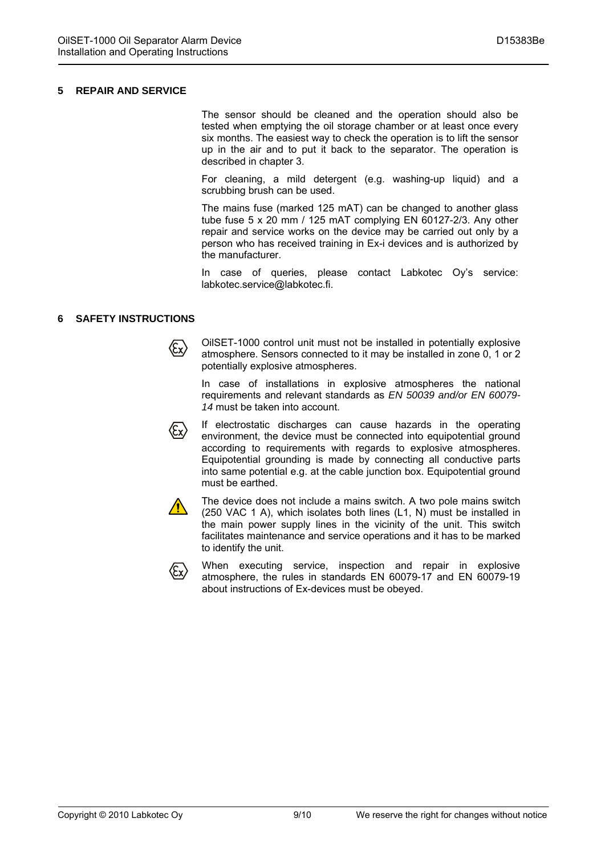#### **5 REPAIR AND SERVICE**

The sensor should be cleaned and the operation should also be tested when emptying the oil storage chamber or at least once every six months. The easiest way to check the operation is to lift the sensor up in the air and to put it back to the separator. The operation is described in chapter 3.

For cleaning, a mild detergent (e.g. washing-up liquid) and a scrubbing brush can be used.

The mains fuse (marked 125 mAT) can be changed to another glass tube fuse 5 x 20 mm / 125 mAT complying EN 60127-2/3. Any other repair and service works on the device may be carried out only by a person who has received training in Ex-i devices and is authorized by the manufacturer.

In case of queries, please contact Labkotec Oy's service: labkotec.service@labkotec.fi.

#### **6 SAFETY INSTRUCTIONS**

OilSET-1000 control unit must not be installed in potentially explosive  $\langle \mathbf{\mathop{\mathsf{E}}_{x}} \rangle$ atmosphere. Sensors connected to it may be installed in zone 0, 1 or 2 potentially explosive atmospheres.

In case of installations in explosive atmospheres the national requirements and relevant standards as *EN 50039 and/or EN 60079- 14* must be taken into account.

If electrostatic discharges can cause hazards in the operating  $\langle \xi_{\sf X} \rangle$ environment, the device must be connected into equipotential ground according to requirements with regards to explosive atmospheres. Equipotential grounding is made by connecting all conductive parts into same potential e.g. at the cable junction box. Equipotential ground must be earthed.



The device does not include a mains switch. A two pole mains switch (250 VAC 1 A), which isolates both lines (L1, N) must be installed in the main power supply lines in the vicinity of the unit. This switch facilitates maintenance and service operations and it has to be marked to identify the unit.



When executing service, inspection and repair in explosive atmosphere, the rules in standards EN 60079-17 and EN 60079-19 about instructions of Ex-devices must be obeyed.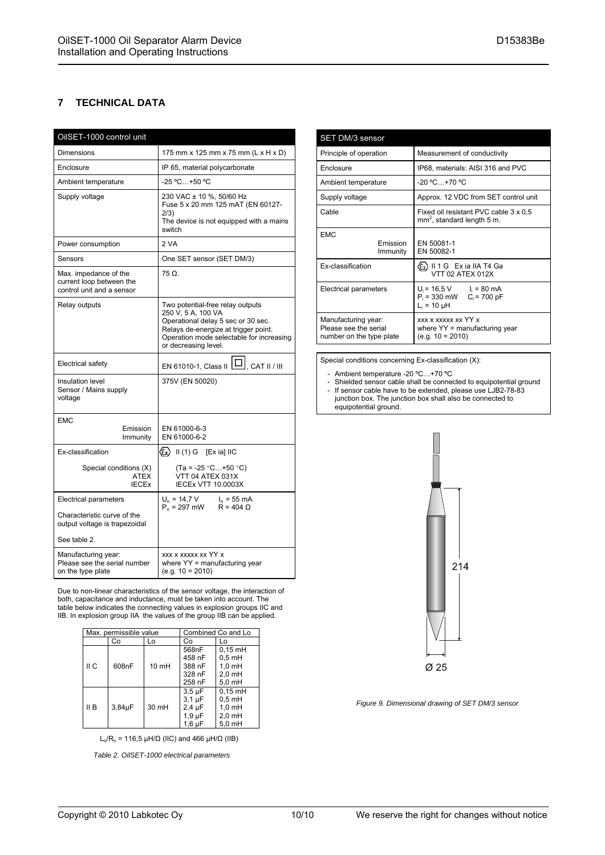#### **7 TECHNICAL DATA**

| OilSET-1000 control unit                                                       |                                                                                                                                                                                                          |
|--------------------------------------------------------------------------------|----------------------------------------------------------------------------------------------------------------------------------------------------------------------------------------------------------|
| <b>Dimensions</b>                                                              | 175 mm x 125 mm x 75 mm (L x H x D)                                                                                                                                                                      |
| Enclosure                                                                      | IP 65, material polycarbonate                                                                                                                                                                            |
| Ambient temperature                                                            | -25 °C +50 °C                                                                                                                                                                                            |
| Supply voltage                                                                 | 230 VAC ± 10 %, 50/60 Hz<br>Fuse 5 x 20 mm 125 mAT (EN 60127-<br>2/3)<br>The device is not equipped with a mains<br>switch                                                                               |
| Power consumption                                                              | 2 VA                                                                                                                                                                                                     |
| Sensors                                                                        | One SET sensor (SET DM/3)                                                                                                                                                                                |
| Max. impedance of the<br>current loop between the<br>control unit and a sensor | $75 \Omega$                                                                                                                                                                                              |
| Relay outputs                                                                  | Two potential-free relay outputs<br>250 V, 5 A, 100 VA<br>Operational delay 5 sec or 30 sec.<br>Relays de-energize at trigger point.<br>Operation mode selectable for increasing<br>or decreasing level. |
| <b>Electrical safety</b>                                                       | EN 61010-1, Class II $\boxed{ \square }$ , CAT II / III                                                                                                                                                  |
| Insulation level<br>Sensor / Mains supply<br>voltage                           | 375V (EN 50020)                                                                                                                                                                                          |
| <b>EMC</b>                                                                     |                                                                                                                                                                                                          |
| Emission<br>Immunity                                                           | EN 61000-6-3<br>EN 61000-6-2                                                                                                                                                                             |
| Ex-classification                                                              | $\langle \overline{\xi_x} \rangle$ II (1) G [Exia] IIC                                                                                                                                                   |
| Special conditions (X)<br>ATEX<br><b>IECEX</b>                                 | $(Ta = -25 °C+50 °C)$<br>VTT 04 ATEX 031X<br><b>IECEX VTT 10.0003X</b>                                                                                                                                   |
| <b>Electrical parameters</b>                                                   | $U_0 = 14.7 V$<br>$I_0 = 55$ mA<br>$P_0 = 297$ mW<br>$R = 404 \Omega$                                                                                                                                    |
| Characteristic curve of the<br>output voltage is trapezoidal                   |                                                                                                                                                                                                          |
| See table 2.                                                                   |                                                                                                                                                                                                          |
| Manufacturing year:<br>Please see the serial number<br>on the type plate       | xxx x xxxxx xx YY x<br>where YY = manufacturing year<br>$(e.g. 10 = 2010)$                                                                                                                               |

Due to non-linear characteristics of the sensor voltage, the interaction of both, capacitance and inductance, must be taken into account. The table below indicates the connecting values in explosion groups IIC and IIB. In explosion group IIA the values of the group IIB can be applied.

| Max. permissible value |        | Combined Co and Lo |                                                                    |                                                                 |
|------------------------|--------|--------------------|--------------------------------------------------------------------|-----------------------------------------------------------------|
|                        | Co     | Lo                 | Co                                                                 | Lo                                                              |
| II C                   | 608nF  | $10 \text{ mH}$    | 568nF<br>458 nF<br>388 nF<br>328 nF<br>258 nF                      | $0,15$ mH<br>$0.5$ mH<br>$1.0$ mH<br>$2.0$ mH<br>$5.0$ mH       |
| II B                   | 3,84µF | 30 mH              | $3.5 \mu F$<br>$3.1 \mu F$<br>$2,4 \mu F$<br>$1.9 \mu F$<br>1,6 µF | $0.15$ mH<br>$0.5$ mH<br>$1.0 \text{ mH}$<br>2,0 mH<br>$5.0$ mH |

L<sub>o</sub>/R<sub>o</sub> = 116,5 µH/ $\Omega$  (IIC) and 466 µH/ $\Omega$  (IIB)

 *Table 2. OilSET-1000 electrical parameters* 

| SET DM/3 sensor                                                          |                                                                                   |
|--------------------------------------------------------------------------|-----------------------------------------------------------------------------------|
| Principle of operation                                                   | Measurement of conductivity                                                       |
| Enclosure                                                                | IP68, materials: AISI 316 and PVC                                                 |
| Ambient temperature                                                      | $-20 °C+70 °C$                                                                    |
| Supply voltage                                                           | Approx. 12 VDC from SET control unit                                              |
| Cable                                                                    | Fixed oil resistant PVC cable 3 x 0,5<br>mm <sup>2</sup> , standard length 5 m.   |
| <b>EMC</b><br><b>Emission</b><br>Immunity                                | FN 50081-1<br>EN 50082-1                                                          |
| <b>Ex-classification</b>                                                 | (Ex) II 1 G Exia IIA T4 Ga<br>VTT 02 ATEX 012X                                    |
| Electrical parameters                                                    | $U_i = 16.5 V$ $I_i = 80 mA$<br>$P_i = 330$ mW $C_i = 700$ pF<br>$L_i = 10 \mu H$ |
| Manufacturing year:<br>Please see the serial<br>number on the type plate | XXX X XXXXX XX YY X<br>where $YY =$ manufacturing year<br>$(e.q. 10 = 2010)$      |

Special conditions concerning Ex-classification (X):

- Ambient temperature -20 ºC…+70 ºC
- Shielded sensor cable shall be connected to equipotential ground - If sensor cable have to be extended, please use LJB2-78-83 junction box. The junction box shall also be connected to equipotential ground.



*Figure 9. Dimensional drawing of SET DM/3 sensor*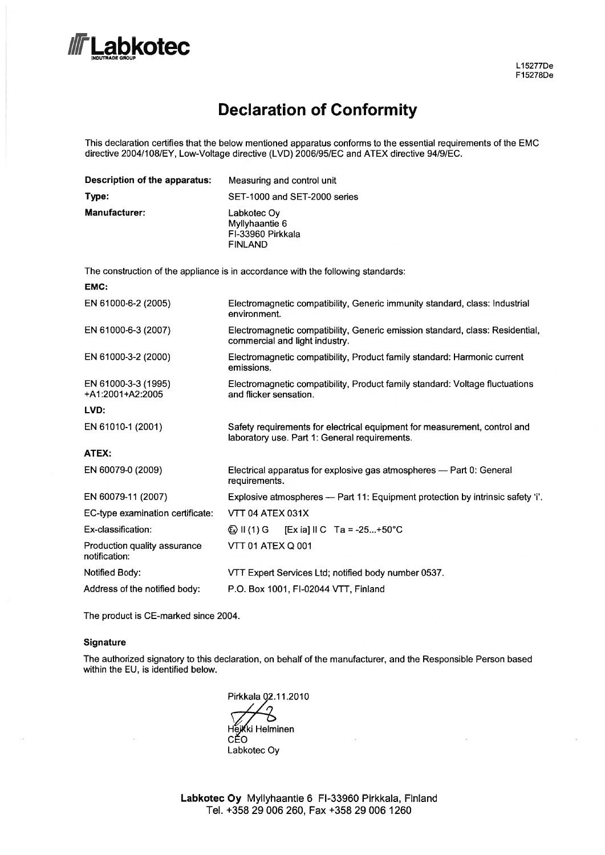# .abkotec

### **Declaration of Conformity**

This declaration certifies that the below mentioned apparatus conforms to the essential requirements of the EMC directive 2004/108/EY, Low-Voltage directive (LVD) 2006/95/EC and ATEX directive 94/9/EC.

| Description of the apparatus:                 | Measuring and control unit                                                                                                 |
|-----------------------------------------------|----------------------------------------------------------------------------------------------------------------------------|
| Type:                                         | SET-1000 and SET-2000 series                                                                                               |
| Manufacturer:                                 | Labkotec Oy<br>Myllyhaantie 6<br>FI-33960 Pirkkala<br><b>FINLAND</b>                                                       |
|                                               | The construction of the appliance is in accordance with the following standards:                                           |
| EMC:                                          |                                                                                                                            |
| EN 61000-6-2 (2005)                           | Electromagnetic compatibility, Generic immunity standard, class: Industrial<br>environment.                                |
| EN 61000-6-3 (2007)                           | Electromagnetic compatibility, Generic emission standard, class: Residential,<br>commercial and light industry.            |
| EN 61000-3-2 (2000)                           | Electromagnetic compatibility, Product family standard: Harmonic current<br>emissions.                                     |
| EN 61000-3-3 (1995)<br>+A1:2001+A2:2005       | Electromagnetic compatibility, Product family standard: Voltage fluctuations<br>and flicker sensation.                     |
| LVD:                                          |                                                                                                                            |
| EN 61010-1 (2001)                             | Safety requirements for electrical equipment for measurement, control and<br>laboratory use. Part 1: General requirements. |
| ATEX:                                         |                                                                                                                            |
| EN 60079-0 (2009)                             | Electrical apparatus for explosive gas atmospheres - Part 0: General<br>requirements.                                      |
| EN 60079-11 (2007)                            | Explosive atmospheres - Part 11: Equipment protection by intrinsic safety 'i'.                                             |
| EC-type examination certificate:              | VTT 04 ATEX 031X                                                                                                           |
| Ex-classification:                            | [Ex ia] II C Ta = -25+50°C<br>$\textcircled{k}$ II (1) G                                                                   |
| Production quality assurance<br>notification: | <b>VTT 01 ATEX Q 001</b>                                                                                                   |
| Notified Body:                                | VTT Expert Services Ltd; notified body number 0537.                                                                        |
| Address of the notified body:                 | P.O. Box 1001, FI-02044 VTT, Finland                                                                                       |

The product is CE-marked since 2004.

#### Signature

 $\bar{\alpha}$ 

The authorized signatory to this declaration, on behalf of the manufacturer, and the Responsible Person based within the EU, is identified below.

Pirkkala 02.11.2010 ່າ  $\circ$ Hejkki Helminen CĚO Labkotec Oy

Labkotec Oy Myllyhaantie 6 FI-33960 Pirkkala, Finland Tel. +358 29 006 260, Fax +358 29 006 1260

 $\overline{\mathcal{D}}$